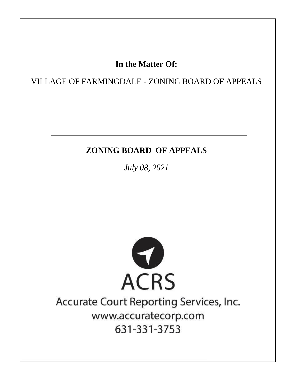# In the Matter Of:

VILLAGE OF FARMINGDALE - ZONING BOARD OF APPEALS

# **ZONING BOARD OF APPEALS**

July 08, 2021



# Accurate Court Reporting Services, Inc. www.accuratecorp.com 631-331-3753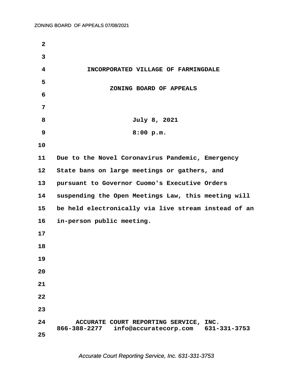| $\mathbf{2}$ |                                                                                                 |
|--------------|-------------------------------------------------------------------------------------------------|
| 3            |                                                                                                 |
| 4            | INCORPORATED VILLAGE OF FARMINGDALE                                                             |
| 5            |                                                                                                 |
| 6            | ZONING BOARD OF APPEALS                                                                         |
| 7            |                                                                                                 |
| 8            | July 8, 2021                                                                                    |
| 9            | 8:00 p.m.                                                                                       |
| 10           |                                                                                                 |
| 11           | Due to the Novel Coronavirus Pandemic, Emergency                                                |
| 12           | State bans on large meetings or gathers, and                                                    |
| 13           | pursuant to Governor Cuomo's Executive Orders                                                   |
| 14           | suspending the Open Meetings Law, this meeting will                                             |
| 15           | be held electronically via live stream instead of an                                            |
| 16           | in-person public meeting.                                                                       |
| 17           |                                                                                                 |
| 18           |                                                                                                 |
| 19           |                                                                                                 |
| 20           |                                                                                                 |
| 21           |                                                                                                 |
| 22           |                                                                                                 |
| 23           |                                                                                                 |
| 24           | ACCURATE COURT REPORTING SERVICE, INC.<br>866-388-2277<br>631-331-3753<br>info@accuratecorp.com |
| 25           |                                                                                                 |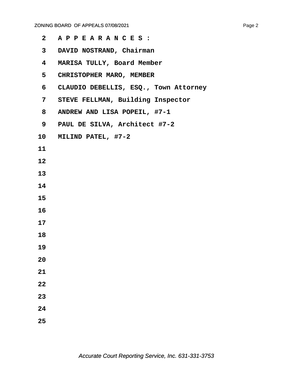| $\mathbf{2}$ | APPEARANCES:                          |
|--------------|---------------------------------------|
| $\mathbf{3}$ | DAVID NOSTRAND, Chairman              |
| 4            | MARISA TULLY, Board Member            |
| 5            | CHRISTOPHER MARO, MEMBER              |
| 6            | CLAUDIO DEBELLIS, ESQ., Town Attorney |
| 7            | STEVE FELLMAN, Building Inspector     |
| 8            | ANDREW AND LISA POPEIL, #7-1          |
| 9            | PAUL DE SILVA, Architect #7-2         |
|              | 10 MILIND PATEL, #7-2                 |
| 11           |                                       |
| 12           |                                       |
| 13           |                                       |
| 14           |                                       |
| 15           |                                       |
| 16           |                                       |
| 17           |                                       |
| 18           |                                       |
| 19           |                                       |
| 20           |                                       |
| 21           |                                       |
| 22           |                                       |
| 23           |                                       |
| 24           |                                       |
| 25           |                                       |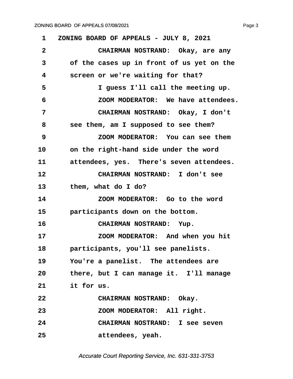<span id="page-3-0"></span>**·1· ·ZONING BOARD OF APPEALS - JULY 8, 2021 ·2· · · · · · ·CHAIRMAN NOSTRAND:· Okay, are any ·3· · · of the cases up in front of us yet on the ·4· · · screen or we're waiting for that? ·5· · · · · · ·I guess I'll call the meeting up. ·6· · · · · · ·ZOOM MODERATOR:· We have attendees. ·7· · · · · · ·CHAIRMAN NOSTRAND:· Okay, I don't ·8· · · see them, am I supposed to see them? ·9· · · · · · ·ZOOM MODERATOR:· You can see them** 10 on the right-hand side under the word 11 **b attendees, yes.** There's seven attendees. **12· · · · · · ·CHAIRMAN NOSTRAND:· I don't see** 13 **· · them, what do I do? 14· · · · · · ·ZOOM MODERATOR:· Go to the word 15· · · participants down on the bottom.** 16 **· · CHAIRMAN NOSTRAND:** Yup. 17 **17 200M MODERATOR:** And when you hit 18 **· · participants, you'll see panelists. 19· · · You're a panelist.· The attendees are** 20 **black**, but I can manage it. I'll manage 21 **it for us. 22· · · · · · ·CHAIRMAN NOSTRAND:· Okay.** 23 **200M MODERATOR:** All right. **24· · · · · · ·CHAIRMAN NOSTRAND:· I see seven 25· · · · · · ·attendees, yeah.**

Accurate Court Reporting Service, Inc. 631-331-3753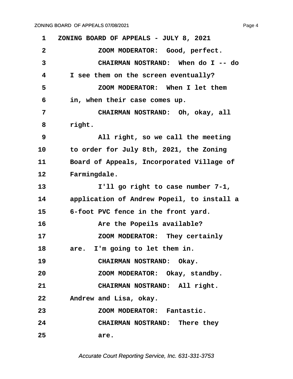<span id="page-4-0"></span>**·1· ·ZONING BOARD OF APPEALS - JULY 8, 2021 ·2· · · · · · ·ZOOM MODERATOR:· Good, perfect. ·3· · · · · · ·CHAIRMAN NOSTRAND:· When do I -- do ·4· · · I see them on the screen eventually? ·5· · · · · · ·ZOOM MODERATOR:· When I let them ·6· · · in, when their case comes up. ·7· · · · · · ·CHAIRMAN NOSTRAND:· Oh, okay, all** 8 right. **·9· · · · · · ·All right, so we call the meeting 10· · · to order for July 8th, 2021, the Zoning** 11 **· · Board of Appeals, Incorporated Village of** 12 Farmingdale. 13 **1'll go right to case number 7-1,** 14 application of Andrew Popeil, to install a 15 6-foot PVC fence in the front yard. **16· · · · · · ·Are the Popeils available? 17· · · · · · ·ZOOM MODERATOR:· They certainly** 18 are. I'm going to let them in. 19 **CHAIRMAN NOSTRAND:** Okay. **20· · · · · · ·ZOOM MODERATOR:· Okay, standby.** 21 **CHAIRMAN NOSTRAND:** All right. **22· · · Andrew and Lisa, okay. 23· · · · · · ·ZOOM MODERATOR:· Fantastic. 24· · · · · · ·CHAIRMAN NOSTRAND:· There they 25· · · · · · ·are.**

Accurate Court Reporting Service, Inc. 631-331-3753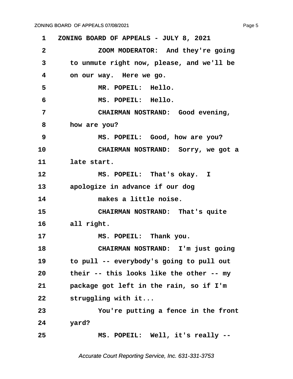<span id="page-5-0"></span>**·1· ·ZONING BOARD OF APPEALS - JULY 8, 2021 ·2· · · · · · ·ZOOM MODERATOR:· And they're going ·3· · · to unmute right now, please, and we'll be ·4· · · on our way.· Here we go. ·5· · · · · · ·MR. POPEIL:· Hello. ·6· · · · · · ·MS. POPEIL:· Hello. ·7· · · · · · ·CHAIRMAN NOSTRAND:· Good evening, ·8· · · how are you? ·9· · · · · · ·MS. POPEIL:· Good, how are you?** 10 **CHAIRMAN NOSTRAND:** Sorry, we got a 11 **late start.** 12 **8 · 12 MS. POPEIL:** That's okay. I **13· · · apologize in advance if our dog 14· · · · · · ·makes a little noise.** 15 **• CHAIRMAN NOSTRAND:** That's quite 16 all right. 17 **MS. POPEIL:** Thank you. 18 **CHAIRMAN NOSTRAND:** I'm just going **19· · · to pull -- everybody's going to pull out 20· · · their -- this looks like the other -- my** 21 **· package got left in the rain, so if I'm** 22 **· · struggling with it... 23· · · · · · ·You're putting a fence in the front 24· · · yard? 25· · · · · · ·MS. POPEIL:· Well, it's really --**

Accurate Court Reporting Service, Inc. 631-331-3753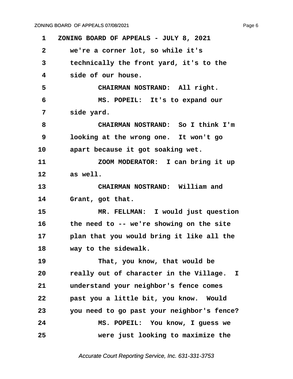<span id="page-6-0"></span>**·1· ·ZONING BOARD OF APPEALS - JULY 8, 2021 ·2· · · we're a corner lot, so while it's ·3· · · technically the front yard, it's to the ·4· · · side of our house. ·5· · · · · · ·CHAIRMAN NOSTRAND:· All right. ·6· · · · · · ·MS. POPEIL:· It's to expand our** 7 · · side yard. **·8· · · · · · ·CHAIRMAN NOSTRAND:· So I think I'm ·9· · · looking at the wrong one.· It won't go** 10 apart because it got soaking wet. **11· · · · · · ·ZOOM MODERATOR:· I can bring it up 12· · · as well.** 13 **• CHAIRMAN NOSTRAND:** William and 14 Grant, got that. **15· · · · · · ·MR. FELLMAN:· I would just question 16· · · the need to -- we're showing on the site** 17 **· · · plan that you would bring it like all the** 18 **way to the sidewalk. 19· · · · · · ·That, you know, that would be 20· · · really out of character in the Village. I** 21 **· · understand your neighbor's fence comes 22· · · past you a little bit, you know.· Would 23· · · you need to go past your neighbor's fence? 24· · · · · · ·MS. POPEIL:· You know, I guess we 25· · · · · · ·were just looking to maximize the**

Accurate Court Reporting Service, Inc. 631-331-3753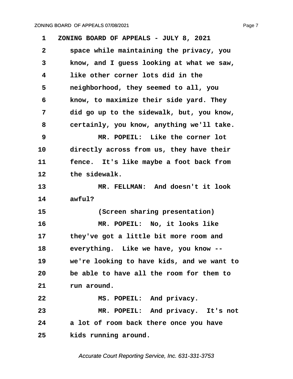<span id="page-7-0"></span>

| 1            | ZONING BOARD OF APPEALS - JULY 8, 2021     |
|--------------|--------------------------------------------|
| $\mathbf{2}$ | space while maintaining the privacy, you   |
| 3            | know, and I guess looking at what we saw,  |
| 4            | like other corner lots did in the          |
| 5            | neighborhood, they seemed to all, you      |
| 6            | know, to maximize their side yard. They    |
| 7            | did go up to the sidewalk, but, you know,  |
| 8            | certainly, you know, anything we'll take.  |
| 9            | MR. POPEIL: Like the corner lot            |
| 10           | directly across from us, they have their   |
| 11           | fence. It's like maybe a foot back from    |
| 12           | the sidewalk.                              |
| 13           | MR. FELLMAN: And doesn't it look           |
| 14           | awful?                                     |
| 15           | (Screen sharing presentation)              |
| 16           | MR. POPEIL: No, it looks like              |
| 17           | they've got a little bit more room and     |
| 18           | everything. Like we have, you know --      |
| 19           | we're looking to have kids, and we want to |
| 20           | be able to have all the room for them to   |
| 21           | run around.                                |
| 22           | MS. POPEIL: And privacy.                   |
| 23           | MR. POPEIL: And privacy. It's not          |
| 24           | a lot of room back there once you have     |
| 25           | kids running around.                       |

Accurate Court Reporting Service, Inc. 631-331-3753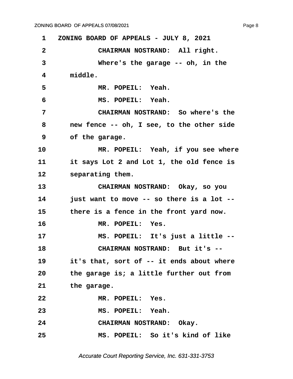<span id="page-8-0"></span>**·1· ·ZONING BOARD OF APPEALS - JULY 8, 2021 ·2· · · · · · ·CHAIRMAN NOSTRAND:· All right. ·3· · · · · · ·Where's the garage -- oh, in the ·4· · · middle. ·5· · · · · · ·MR. POPEIL:· Yeah. ·6· · · · · · ·MS. POPEIL:· Yeah. ·7· · · · · · ·CHAIRMAN NOSTRAND:· So where's the ·8· · · new fence -- oh, I see, to the other side ·9· · · of the garage.** 10 MR. POPEIL: Yeah, if you see where 11 **it says Lot 2 and Lot 1, the old fence is** 12 **· · separating them. 13· · · · · · ·CHAIRMAN NOSTRAND:· Okay, so you 14· · · just want to move -- so there is a lot --** 15 **budget there is a fence in the front yard now.** 16 **MR. POPEIL:** Yes. 17 MS. POPEIL: It's just a little --**18· · · · · · ·CHAIRMAN NOSTRAND:· But it's --** 19 **it's that, sort of -- it ends about where 20· · · the garage is; a little further out from** 21 **the garage. 22· · · · · · ·MR. POPEIL:· Yes. 23· · · · · · ·MS. POPEIL:· Yeah. 24· · · · · · ·CHAIRMAN NOSTRAND:· Okay. 25· · · · · · ·MS. POPEIL:· So it's kind of like**

Accurate Court Reporting Service, Inc. 631-331-3753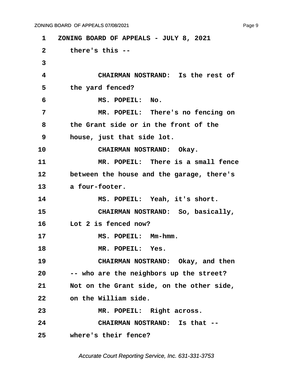<span id="page-9-0"></span>**·1· ·ZONING BOARD OF APPEALS - JULY 8, 2021 ·2· · · there's this -- ·3 ·4· · · · · · ·CHAIRMAN NOSTRAND:· Is the rest of** 5 **· · · the yard fenced? ·6· · · · · · ·MS. POPEIL:· No. ·7· · · · · · ·MR. POPEIL:· There's no fencing on ·8· · · the Grant side or in the front of the ·9· · · house, just that side lot.** 10 **CHAIRMAN NOSTRAND:** Okay. **11· · · · · · ·MR. POPEIL:· There is a small fence** 12 between the house and the garage, there's 13 a four-footer. 14 MS. POPEIL: Yeah, it's short. 15 **· · CHAIRMAN NOSTRAND:** So, basically, 16 **· · Lot 2 is fenced now?** 17 **MS. POPEIL: Mm-hmm.** 18 **MR. POPEIL: Yes.** 19 **CHAIRMAN NOSTRAND:** Okay, and then **20· · · -- who are the neighbors up the street?** 21 Not on the Grant side, on the other side, **22· · · on the William side.** 23 MR. POPEIL: Right across. **24· · · · · · ·CHAIRMAN NOSTRAND:· Is that -- 25· · · where's their fence?**

Accurate Court Reporting Service, Inc. 631-331-3753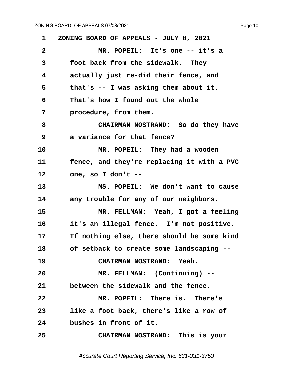<span id="page-10-0"></span>

| 1            | ZONING BOARD OF APPEALS - JULY 8, 2021     |
|--------------|--------------------------------------------|
| $\mathbf{2}$ | MR. POPEIL: It's one -- it's a             |
| 3            | foot back from the sidewalk. They          |
| 4            | actually just re-did their fence, and      |
| 5            | that's -- I was asking them about it.      |
| 6            | That's how I found out the whole           |
| 7            | procedure, from them.                      |
| 8            | CHAIRMAN NOSTRAND: So do they have         |
| 9            | a variance for that fence?                 |
| 10           | MR. POPEIL: They had a wooden              |
| 11           | fence, and they're replacing it with a PVC |
| 12           | one, so I don't --                         |
| 13           | MS. POPEIL: We don't want to cause         |
| 14           | any trouble for any of our neighbors.      |
| 15           | MR. FELLMAN: Yeah, I got a feeling         |
| 16           | it's an illegal fence. I'm not positive.   |
| 17           | If nothing else, there should be some kind |
| 18           | of setback to create some landscaping      |
| 19           | CHAIRMAN NOSTRAND: Yeah.                   |
| 20           | MR. FELLMAN: (Continuing) --               |
| 21           | between the sidewalk and the fence.        |
| 22           | MR. POPEIL: There is. There's              |
| 23           | like a foot back, there's like a row of    |
| 24           | bushes in front of it.                     |
| 25           | CHAIRMAN NOSTRAND: This is your            |
|              |                                            |

Accurate Court Reporting Service, Inc. 631-331-3753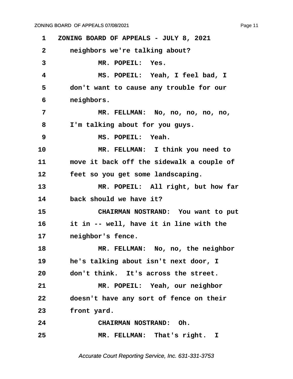<span id="page-11-0"></span>**·1· ·ZONING BOARD OF APPEALS - JULY 8, 2021 ·2· · · neighbors we're talking about?** 3 MR. POPEIL: Yes. **·4· · · · · · ·MS. POPEIL:· Yeah, I feel bad, I ·5· · · don't want to cause any trouble for our ·6· · · neighbors. ·7· · · · · · ·MR. FELLMAN:· No, no, no, no, no, ·8· · · I'm talking about for you guys. ·9· · · · · · ·MS. POPEIL:· Yeah.** 10 **MR. FELLMAN:** I think you need to 11 **· · move it back off the sidewalk a couple of** 12 **· · feet so you get some landscaping.** 13 MR. POPEIL: All right, but how far 14 **back should we have it?** 15 **• CHAIRMAN NOSTRAND:** You want to put **16· · · it in -- well, have it in line with the 17· · · neighbor's fence.** 18 **MR. FELLMAN:** No, no, the neighbor 19 **he's talking about isn't next door, I 20· · · don't think.· It's across the street.** 21 MR. POPEIL: Yeah, our neighbor **22· · · doesn't have any sort of fence on their** 23 **front yard. 24· · · · · · ·CHAIRMAN NOSTRAND:· Oh.** 25 **MR. FELLMAN:** That's right. I

Accurate Court Reporting Service, Inc. 631-331-3753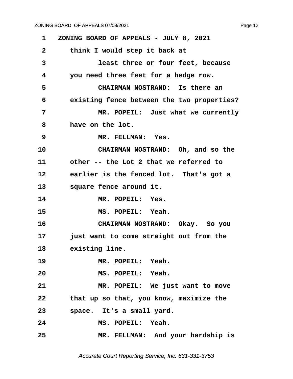<span id="page-12-0"></span>**·1· ·ZONING BOARD OF APPEALS - JULY 8, 2021 ·2· · · think I would step it back at ·3· · · · · · ·least three or four feet, because ·4· · · you need three feet for a hedge row. ·5· · · · · · ·CHAIRMAN NOSTRAND:· Is there an ·6· · · existing fence between the two properties? ·7· · · · · · ·MR. POPEIL:· Just what we currently ·8· · · have on the lot. ·9· · · · · · ·MR. FELLMAN:· Yes.** 10 **CHAIRMAN NOSTRAND:** Oh, and so the 11 other -- the Lot 2 that we referred to **12· · · earlier is the fenced lot.· That's got a** 13 · **square fence around it.** 14 MR. POPEIL: Yes. **15· · · · · · ·MS. POPEIL:· Yeah. 16· · · · · · ·CHAIRMAN NOSTRAND:· Okay.· So you** 17 **just want to come straight out from the 18· · · existing line.** 19 **MR. POPEIL:** Yeah. 20 **MS. POPEIL: Yeah.** 21 MR. POPEIL: We just want to move **22· · · that up so that, you know, maximize the** 23 **· · space.** It's a small yard. **24· · · · · · ·MS. POPEIL:· Yeah. 25· · · · · · ·MR. FELLMAN:· And your hardship is**

Accurate Court Reporting Service, Inc. 631-331-3753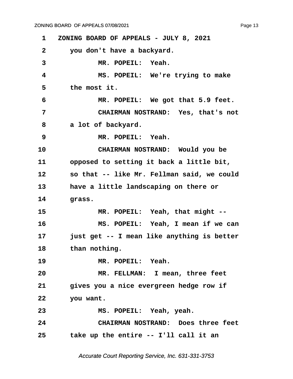<span id="page-13-0"></span>

| 1            | ZONING BOARD OF APPEALS - JULY 8, 2021     |
|--------------|--------------------------------------------|
| $\mathbf{2}$ | you don't have a backyard.                 |
| 3            | MR. POPEIL: Yeah.                          |
| 4            | MS. POPEIL: We're trying to make           |
| 5            | the most it.                               |
| 6            | MR. POPEIL: We got that 5.9 feet.          |
| 7            | CHAIRMAN NOSTRAND: Yes, that's not         |
| 8            | a lot of backyard.                         |
| 9            | MR. POPEIL: Yeah.                          |
| 10           | CHAIRMAN NOSTRAND: Would you be            |
| 11           | opposed to setting it back a little bit,   |
| 12           | so that -- like Mr. Fellman said, we could |
| 13           | have a little landscaping on there or      |
| 14           | grass.                                     |
| 15           | MR. POPEIL: Yeah, that might --            |
| 16           | MS. POPEIL: Yeah, I mean if we can         |
| 17           | just get -- I mean like anything is better |
| 18           | than nothing.                              |
| 19           | MR. POPEIL: Yeah.                          |
| 20           | MR. FELLMAN: I mean, three feet            |
| 21           | gives you a nice evergreen hedge row if    |
| 22           | you want.                                  |
| 23           | MS. POPEIL: Yeah, yeah.                    |
| 24           | CHAIRMAN NOSTRAND: Does three feet         |
| 25           | take up the entire -- I'll call it an      |
|              |                                            |

Accurate Court Reporting Service, Inc. 631-331-3753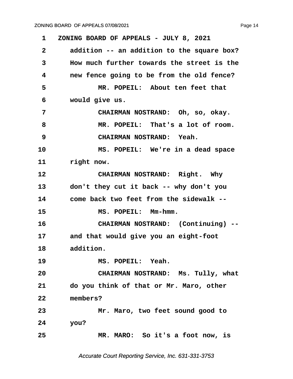<span id="page-14-0"></span>**·1· ·ZONING BOARD OF APPEALS - JULY 8, 2021 ·2· · · addition -- an addition to the square box? ·3· · · How much further towards the street is the ·4· · · new fence going to be from the old fence? ·5· · · · · · ·MR. POPEIL:· About ten feet that ·6· · · would give us. ·7· · · · · · ·CHAIRMAN NOSTRAND:· Oh, so, okay. ·8· · · · · · ·MR. POPEIL:· That's a lot of room. ·9· · · · · · ·CHAIRMAN NOSTRAND:· Yeah.** 10 **MS. POPEIL:** We're in a dead space 11 **right now.** 12 **CHAIRMAN NOSTRAND:** Right. Why 13 don't they cut it back -- why don't you **14· · · come back two feet from the sidewalk -- 15· · · · · · ·MS. POPEIL:· Mm-hmm. 16· · · · · · ·CHAIRMAN NOSTRAND:· (Continuing) -- 17· · · and that would give you an eight-foot** 18 addition. 19 **MS. POPEIL: Yeah. 20· · · · · · ·CHAIRMAN NOSTRAND:· Ms. Tully, what 21· · · do you think of that or Mr. Maro, other 22· · · members? 23· · · · · · ·Mr. Maro, two feet sound good to 24· · · you? 25· · · · · · ·MR. MARO:· So it's a foot now, is**

Accurate Court Reporting Service, Inc. 631-331-3753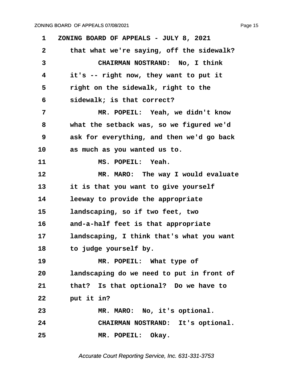<span id="page-15-0"></span>**·1· ·ZONING BOARD OF APPEALS - JULY 8, 2021 ·2· · · that what we're saying, off the sidewalk? ·3· · · · · · ·CHAIRMAN NOSTRAND:· No, I think ·4· · · it's -- right now, they want to put it** 5 **· · right on the sidewalk, right to the ·6· · · sidewalk; is that correct? ·7· · · · · · ·MR. POPEIL:· Yeah, we didn't know ·8· · · what the setback was, so we figured we'd ·9· · · ask for everything, and then we'd go back** 10 as much as you wanted us to. **11· · · · · · ·MS. POPEIL:· Yeah.** 12 **MR. MARO:** The way I would evaluate 13 **12** it is that you want to give yourself 14 **· · leeway to provide the appropriate** 15 **landscaping, so if two feet, two 16· · · and-a-half feet is that appropriate** 17 **· landscaping, I think that's what you want** 18 **budge yourself by.** 19 **MR. POPEIL:** What type of **20· · · landscaping do we need to put in front of 21· · · that?· Is that optional?· Do we have to 22· · · put it in?** 23 **MR. MARO:** No, it's optional. **24· · · · · · ·CHAIRMAN NOSTRAND:· It's optional.** 25 **MR. POPEIL: Okay.** 

Accurate Court Reporting Service, Inc. 631-331-3753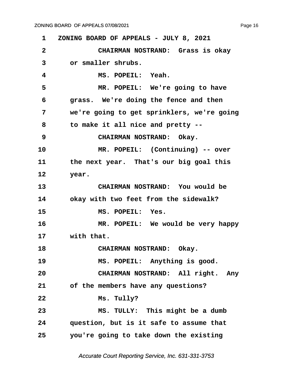<span id="page-16-0"></span>**·1· ·ZONING BOARD OF APPEALS - JULY 8, 2021 ·2· · · · · · ·CHAIRMAN NOSTRAND:· Grass is okay ·3· · · or smaller shrubs. ·4· · · · · · ·MS. POPEIL:· Yeah.** 5 **MR. POPEIL:** We're going to have **·6· · · grass.· We're doing the fence and then ·7· · · we're going to get sprinklers, we're going ·8· · · to make it all nice and pretty -- 9 · · · · · CHAIRMAN NOSTRAND:** Okay. 10 MR. POPEIL: (Continuing) -- over 11 **but the next year.** That's our big goal this 12 **year. 13· · · · · · ·CHAIRMAN NOSTRAND:· You would be 14· · · okay with two feet from the sidewalk? 15· · · · · · ·MS. POPEIL:· Yes. 16· · · · · · ·MR. POPEIL:· We would be very happy** 17 **with that.** 18 **CHAIRMAN NOSTRAND:** Okay. 19 **MS. POPEIL:** Anything is good. **20· · · · · · ·CHAIRMAN NOSTRAND:· All right.· Any** 21 of the members have any questions? **22· · · · · · ·Ms. Tully? 23· · · · · · ·MS. TULLY:· This might be a dumb 24· · · question, but is it safe to assume that 25· · · you're going to take down the existing**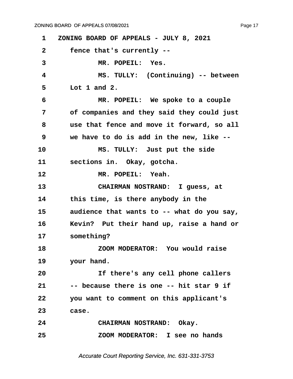<span id="page-17-0"></span>**·1· ·ZONING BOARD OF APPEALS - JULY 8, 2021 ·2· · · fence that's currently --** 3 MR. POPEIL: Yes. **·4· · · · · · ·MS. TULLY:· (Continuing) -- between ·5· · · Lot 1 and 2. ·6· · · · · · ·MR. POPEIL:· We spoke to a couple ·7· · · of companies and they said they could just ·8· · · use that fence and move it forward, so all ·9· · · we have to do is add in the new, like --** 10 **MS. TULLY:** Just put the side **11· · · sections in.· Okay, gotcha.** 12 **MR. POPEIL: Yeah.** 13 **CHAIRMAN NOSTRAND:** I guess, at 14 **budget that the the the the state is there anybody in the** 15 audience that wants to -- what do you say, **16· · · Kevin?· Put their hand up, raise a hand or 17· · · something? 18· · · · · · ·ZOOM MODERATOR:· You would raise** 19 **your hand. 20· · · · · · ·If there's any cell phone callers 21· · · -- because there is one -- hit star 9 if 22· · · you want to comment on this applicant's 23· · · case. 24· · · · · · ·CHAIRMAN NOSTRAND:· Okay. 25· · · · · · ·ZOOM MODERATOR:· I see no hands**

Accurate Court Reporting Service, Inc. 631-331-3753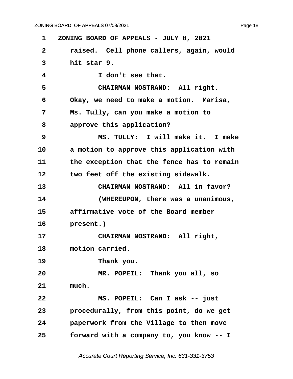Page 18

<span id="page-18-0"></span>**·1· ·ZONING BOARD OF APPEALS - JULY 8, 2021 ·2· · · raised.· Cell phone callers, again, would ·3· · · hit star 9. ·4· · · · · · ·I don't see that. ·5· · · · · · ·CHAIRMAN NOSTRAND:· All right. ·6· · · Okay, we need to make a motion.· Marisa, ·7· · · Ms. Tully, can you make a motion to ·8· · · approve this application? ·9· · · · · · ·MS. TULLY:· I will make it.· I make** 10 a motion to approve this application with 11 **budge the exception that the fence has to remain** 12 **budget off the existing sidewalk.** 13 **13** CHAIRMAN NOSTRAND: All in favor? **14· · · · · · ·(WHEREUPON, there was a unanimous, 15· · · affirmative vote of the Board member** 16 **present.**) 17 **· · · · · · · CHAIRMAN NOSTRAND:** All right, 18 motion carried. 19 **Thank you. 20· · · · · · ·MR. POPEIL:· Thank you all, so** 21 much. **22· · · · · · ·MS. POPEIL:· Can I ask -- just 23· · · procedurally, from this point, do we get 24· · · paperwork from the Village to then move 25· · · forward with a company to, you know -- I**

Accurate Court Reporting Service, Inc. 631-331-3753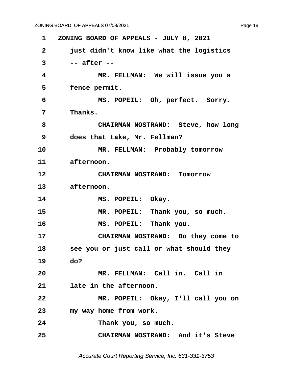<span id="page-19-0"></span>**·1· ·ZONING BOARD OF APPEALS - JULY 8, 2021 ·2· · · just didn't know like what the logistics ·3· · · -- after -- ·4· · · · · · ·MR. FELLMAN:· We will issue you a** 5 **· fence permit. ·6· · · · · · ·MS. POPEIL:· Oh, perfect.· Sorry. ·7· · · Thanks. ·8· · · · · · ·CHAIRMAN NOSTRAND:· Steve, how long ·9· · · does that take, Mr. Fellman?** 10 MR. FELLMAN: Probably tomorrow 11 afternoon. **12· · · · · · ·CHAIRMAN NOSTRAND:· Tomorrow** 13 afternoon. 14 MS. POPEIL: Okay. 15 MR. POPEIL: Thank you, so much. **16· · · · · · ·MS. POPEIL:· Thank you. 17· · · · · · ·CHAIRMAN NOSTRAND:· Do they come to** 18 **· · see you or just call or what should they 19· · · do? 20· · · · · · ·MR. FELLMAN:· Call in.· Call in** 21 **· · late in the afternoon. 22· · · · · · ·MR. POPEIL:· Okay, I'll call you on 23· · · my way home from work.** 24 **Thank you, so much. 25· · · · · · ·CHAIRMAN NOSTRAND:· And it's Steve**

Accurate Court Reporting Service, Inc. 631-331-3753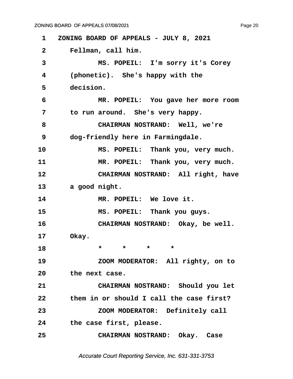<span id="page-20-0"></span>**·1· ·ZONING BOARD OF APPEALS - JULY 8, 2021 ·2· · · Fellman, call him. ·3· · · · · · ·MS. POPEIL:· I'm sorry it's Corey ·4· · · (phonetic).· She's happy with the** 5 decision. **·6· · · · · · ·MR. POPEIL:· You gave her more room** 7 **but to run around.** She's very happy. **·8· · · · · · ·CHAIRMAN NOSTRAND:· Well, we're ·9· · · dog-friendly here in Farmingdale.** 10 MS. POPEIL: Thank you, very much. 11 MR. POPEIL: Thank you, very much. 12 **CHAIRMAN NOSTRAND:** All right, have 13 a good night. 14 MR. POPEIL: We love it. 15 **8 · 8 · MS. POPEIL:** Thank you guys. 16 **· · · · · · · CHAIRMAN NOSTRAND:** Okay, be well. 17 **Okay. 18** \* \* \* \* \* 19 **200M MODERATOR:** All righty, on to 20 **the next case. 21· · · · · · ·CHAIRMAN NOSTRAND:· Should you let 22· · · them in or should I call the case first? 23· · · · · · ·ZOOM MODERATOR:· Definitely call** 24 **blue case first, please. 25· · · · · · ·CHAIRMAN NOSTRAND:· Okay.· Case**

Accurate Court Reporting Service, Inc. 631-331-3753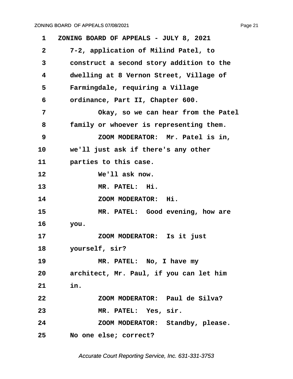<span id="page-21-0"></span>

| 1               | ZONING BOARD OF APPEALS - JULY 8, 2021   |
|-----------------|------------------------------------------|
| $\mathbf{2}$    | 7-2, application of Milind Patel, to     |
| 3               | construct a second story addition to the |
| 4               | dwelling at 8 Vernon Street, Village of  |
| 5               | Farmingdale, requiring a Village         |
| 6               | ordinance, Part II, Chapter 600.         |
| 7               | Okay, so we can hear from the Patel      |
| 8               | family or whoever is representing them.  |
| 9               | ZOOM MODERATOR: Mr. Patel is in,         |
| 10              | we'll just ask if there's any other      |
| 11              | parties to this case.                    |
| 12              | We'll ask now.                           |
| 13              | MR. PATEL: Hi.                           |
| 14              | ZOOM MODERATOR: Hi.                      |
| 15              | MR. PATEL: Good evening, how are         |
| 16              | you.                                     |
| 17              | ZOOM MODERATOR: Is it just               |
| 18              | yourself, sir?                           |
| 19              | MR. PATEL: No, I have my                 |
| 20              | architect, Mr. Paul, if you can let him  |
| 21              | in.                                      |
| 22              | ZOOM MODERATOR: Paul de Silva?           |
| 23              | MR. PATEL: Yes, sir.                     |
| 24              | ZOOM MODERATOR: Standby, please.         |
| 25 <sub>2</sub> | No one else; correct?                    |
|                 |                                          |

Accurate Court Reporting Service, Inc. 631-331-3753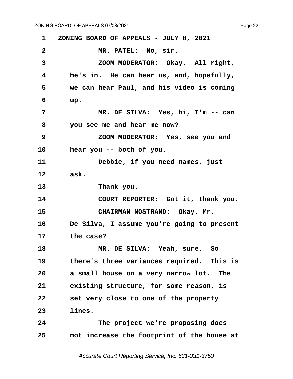<span id="page-22-0"></span>**·1· ·ZONING BOARD OF APPEALS - JULY 8, 2021 ·2· · · · · · ·MR. PATEL:· No, sir. ·3· · · · · · ·ZOOM MODERATOR:· Okay.· All right, ·4· · · he's in.· He can hear us, and, hopefully, ·5· · · we can hear Paul, and his video is coming ·6· · · up. ·7· · · · · · ·MR. DE SILVA:· Yes, hi, I'm -- can ·8· · · you see me and hear me now? ·9· · · · · · ·ZOOM MODERATOR:· Yes, see you and** 10 **hear you -- both of you.** 11 **Debbie, if you need names, just 12· · · ask.** 13 **Thank you.** 14 **COURT REPORTER:** Got it, thank you. 15 **· · CHAIRMAN NOSTRAND:** Okay, Mr. **16· · · De Silva, I assume you're going to present** 17 **the case? 18· · · · · · ·MR. DE SILVA:· Yeah, sure.· So** 19 **beloginary** there's three variances required. This is 20 **a small house on a very narrow lot.** The 21 **· · existing structure, for some reason, is 22· · · set very close to one of the property 23· · · lines.** 24 **The project we're proposing does 25· · · not increase the footprint of the house at**

Accurate Court Reporting Service, Inc. 631-331-3753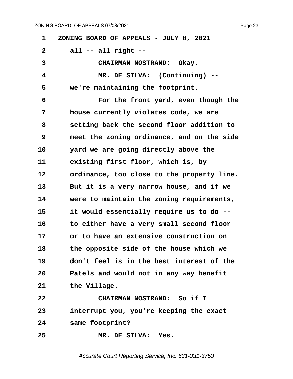<span id="page-23-0"></span>**·1· ·ZONING BOARD OF APPEALS - JULY 8, 2021 ·2· · · all -- all right --** 3 **· · · · · · · CHAIRMAN NOSTRAND:** Okay. **·4· · · · · · ·MR. DE SILVA:· (Continuing) --** 5 **we're maintaining the footprint. ·6· · · · · · ·For the front yard, even though the ·7· · · house currently violates code, we are ·8· · · setting back the second floor addition to ·9· · · meet the zoning ordinance, and on the side** 10 *yard we are going directly above the* 11 **· · existing first floor, which is, by** 12 ordinance, too close to the property line. 13 But it is a very narrow house, and if we 14 **were to maintain the zoning requirements, 15· · · it would essentially require us to do -- 16· · · to either have a very small second floor 17· · · or to have an extensive construction on 18· · · the opposite side of the house which we 19· · · don't feel is in the best interest of the 20· · · Patels and would not in any way benefit** 21 **the Village. 22· · · · · · ·CHAIRMAN NOSTRAND:· So if I 23· · · interrupt you, you're keeping the exact 24· · · same footprint? 25· · · · · · ·MR. DE SILVA:· Yes.**

Accurate Court Reporting Service, Inc. 631-331-3753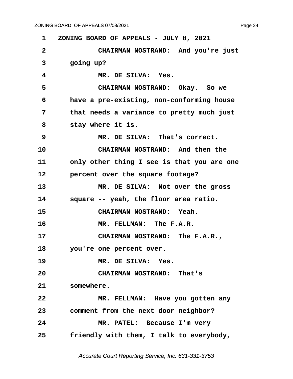Page 24

<span id="page-24-0"></span>

| 1            | ZONING BOARD OF APPEALS - JULY 8, 2021     |
|--------------|--------------------------------------------|
| $\mathbf{2}$ | CHAIRMAN NOSTRAND: And you're just         |
| 3            | going up?                                  |
| 4            | MR. DE SILVA: Yes.                         |
| 5            | CHAIRMAN NOSTRAND: Okay. So we             |
| 6            | have a pre-existing, non-conforming house  |
| 7            | that needs a variance to pretty much just  |
| 8            | stay where it is.                          |
| 9            | MR. DE SILVA: That's correct.              |
| 10           | CHAIRMAN NOSTRAND: And then the            |
| 11           | only other thing I see is that you are one |
| 12           | percent over the square footage?           |
| 13           | MR. DE SILVA: Not over the gross           |
| 14           | square -- yeah, the floor area ratio.      |
| 15           | CHAIRMAN NOSTRAND: Yeah.                   |
| 16           | MR. FELLMAN: The F.A.R.                    |
| 17           | CHAIRMAN NOSTRAND: The F.A.R.,             |
| 18           | you're one percent over.                   |
| 19           | MR. DE SILVA: Yes.                         |
| 20           | CHAIRMAN NOSTRAND: That's                  |
| 21           | somewhere.                                 |
| 22           | MR. FELLMAN: Have you gotten any           |
| 23           | comment from the next door neighbor?       |
| 24           | MR. PATEL: Because I'm very                |
| 25           | friendly with them, I talk to everybody,   |

Accurate Court Reporting Service, Inc. 631-331-3753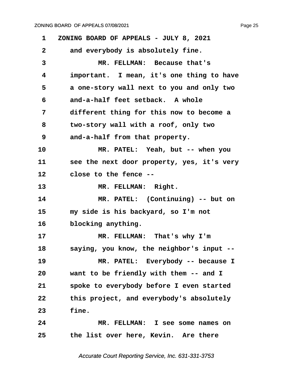<span id="page-25-0"></span>**·1· ·ZONING BOARD OF APPEALS - JULY 8, 2021** 2 and everybody is absolutely fine. **·3· · · · · · ·MR. FELLMAN:· Because that's ·4· · · important.· I mean, it's one thing to have ·5· · · a one-story wall next to you and only two ·6· · · and-a-half feet setback.· A whole ·7· · · different thing for this now to become a ·8· · · two-story wall with a roof, only two ·9· · · and-a-half from that property.** 10 MR. PATEL: Yeah, but -- when you 11 **· · see the next door property, yes, it's very** 12 **close to the fence --**13 MR. FELLMAN: Right. 14 MR. PATEL: (Continuing) -- but on **15· · · my side is his backyard, so I'm not** 16 blocking anything. 17 MR. FELLMAN: That's why I'm **18· · · saying, you know, the neighbor's input --** 19 MR. PATEL: Everybody -- because I **20· · · want to be friendly with them -- and I** 21 **· · spoke to everybody before I even started 22· · · this project, and everybody's absolutely 23· · · fine. 24· · · · · · ·MR. FELLMAN:· I see some names on 25· · · the list over here, Kevin.· Are there**

Accurate Court Reporting Service, Inc. 631-331-3753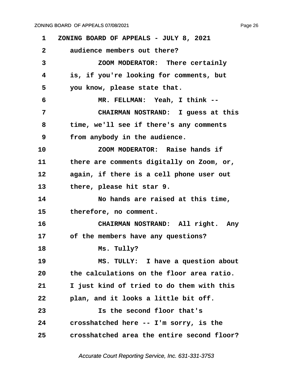<span id="page-26-0"></span>**·1· ·ZONING BOARD OF APPEALS - JULY 8, 2021 ·2· · · audience members out there? ·3· · · · · · ·ZOOM MODERATOR:· There certainly ·4· · · is, if you're looking for comments, but** 5 **· · you know, please state that. ·6· · · · · · ·MR. FELLMAN:· Yeah, I think -- ·7· · · · · · ·CHAIRMAN NOSTRAND:· I guess at this ·8· · · time, we'll see if there's any comments ·9· · · from anybody in the audience. 10· · · · · · ·ZOOM MODERATOR:· Raise hands if** 11 **budget there are comments digitally on Zoom, or,** 12 again, if there is a cell phone user out 13 **· · there, please hit star 9. 14· · · · · · ·No hands are raised at this time,** 15 **· therefore, no comment.** 16 **· · · · · · CHAIRMAN NOSTRAND:** All right. Any 17 of the members have any questions? 18 **Ms. Tully? 19· · · · · · ·MS. TULLY:· I have a question about 20· · · the calculations on the floor area ratio. 21· · · I just kind of tried to do them with this 22· · · plan, and it looks a little bit off. 23· · · · · · ·Is the second floor that's 24· · · crosshatched here -- I'm sorry, is the 25· · · crosshatched area the entire second floor?**

Accurate Court Reporting Service, Inc. 631-331-3753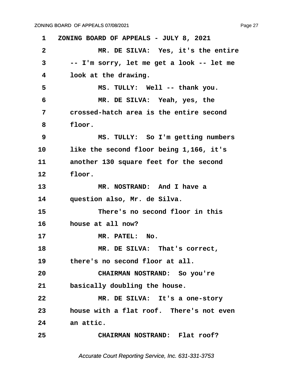<span id="page-27-0"></span>**·1· ·ZONING BOARD OF APPEALS - JULY 8, 2021 ·2· · · · · · ·MR. DE SILVA:· Yes, it's the entire ·3· · · -- I'm sorry, let me get a look -- let me ·4· · · look at the drawing. ·5· · · · · · ·MS. TULLY:· Well -- thank you. ·6· · · · · · ·MR. DE SILVA:· Yeah, yes, the ·7· · · crossed-hatch area is the entire second** 8 **floor. ·9· · · · · · ·MS. TULLY:· So I'm getting numbers** 10 like the second floor being 1,166, it's 11 **another 130 square feet for the second** 12 **floor.** 13 **MR. NOSTRAND:** And I have a 14 **question also, Mr. de Silva. 15· · · · · · ·There's no second floor in this 16· · · house at all now?** 17 MR. PATEL: No. **18· · · · · · ·MR. DE SILVA:· That's correct,** 19 **· · there's no second floor at all. 20· · · · · · ·CHAIRMAN NOSTRAND:· So you're** 21 basically doubling the house. **22· · · · · · ·MR. DE SILVA:· It's a one-story 23· · · house with a flat roof.· There's not even** 24 an attic. **25· · · · · · ·CHAIRMAN NOSTRAND:· Flat roof?**

Accurate Court Reporting Service, Inc. 631-331-3753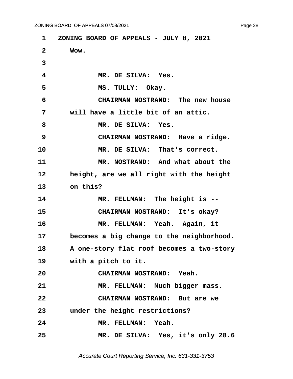<span id="page-28-0"></span>**·1· ·ZONING BOARD OF APPEALS - JULY 8, 2021 ·2· · · Wow. ·3 ·4· · · · · · ·MR. DE SILVA:· Yes. ·5· · · · · · ·MS. TULLY:· Okay. ·6· · · · · · ·CHAIRMAN NOSTRAND:· The new house ·7· · · will have a little bit of an attic. ·8· · · · · · ·MR. DE SILVA:· Yes. ·9· · · · · · ·CHAIRMAN NOSTRAND:· Have a ridge.** 10 **MR. DE SILVA: That's correct.** 11 MR. NOSTRAND: And what about the 12 **height, are we all right with the height** 13 on this? 14 MR. FELLMAN: The height is --15 **CHAIRMAN NOSTRAND:** It's okay? 16 **MR. FELLMAN: Yeah.** Again, it 17 becomes a big change to the neighborhood. 18 **· · A one-story flat roof becomes a two-story** 19 **with a pitch to it. 20· · · · · · ·CHAIRMAN NOSTRAND:· Yeah.** 21 MR. FELLMAN: Much bigger mass. **22· · · · · · ·CHAIRMAN NOSTRAND:· But are we 23· · · under the height restrictions? 24· · · · · · ·MR. FELLMAN:· Yeah.** 25 MR. DE SILVA: Yes, it's only 28.6

Accurate Court Reporting Service, Inc. 631-331-3753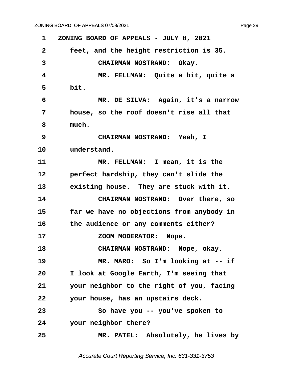<span id="page-29-0"></span>**·1· ·ZONING BOARD OF APPEALS - JULY 8, 2021 ·2· · · feet, and the height restriction is 35.** 3 **· · · · · · CHAIRMAN NOSTRAND:** Okay. **·4· · · · · · ·MR. FELLMAN:· Quite a bit, quite a ·5· · · bit. ·6· · · · · · ·MR. DE SILVA:· Again, it's a narrow ·7· · · house, so the roof doesn't rise all that ·8· · · much. ·9· · · · · · ·CHAIRMAN NOSTRAND:· Yeah, I** 10 **understand. 11· · · · · · ·MR. FELLMAN:· I mean, it is the** 12 **· · perfect hardship, they can't slide the** 13 **· · existing house.** They are stuck with it. **14· · · · · · ·CHAIRMAN NOSTRAND:· Over there, so 15· · · far we have no objections from anybody in 16· · · the audience or any comments either?** 17 **17 200M MODERATOR:** Nope. **18· · · · · · ·CHAIRMAN NOSTRAND:· Nope, okay.** 19 MR. MARO: So I'm looking at -- if **20· · · I look at Google Earth, I'm seeing that 21· · · your neighbor to the right of you, facing 22· · · your house, has an upstairs deck. 23· · · · · · ·So have you -- you've spoken to** 24 *your neighbor there?* **25· · · · · · ·MR. PATEL:· Absolutely, he lives by**

Accurate Court Reporting Service, Inc. 631-331-3753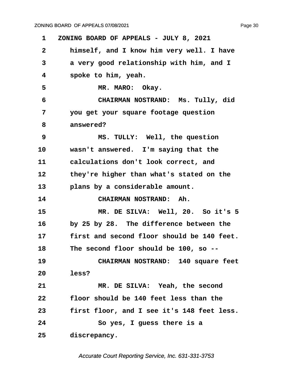<span id="page-30-0"></span>**·1· ·ZONING BOARD OF APPEALS - JULY 8, 2021 ·2· · · himself, and I know him very well. I have ·3· · · a very good relationship with him, and I ·4· · · spoke to him, yeah. ·5· · · · · · ·MR. MARO:· Okay. ·6· · · · · · ·CHAIRMAN NOSTRAND:· Ms. Tully, did ·7· · · you get your square footage question** 8 answered? **·9· · · · · · ·MS. TULLY:· Well, the question** 10 wasn't answered. I'm saying that the 11 calculations don't look correct, and 12 **bidget than what's stated on the** 13 · **plans by a considerable amount.** 14 **CHAIRMAN NOSTRAND: Ah.** 15 **MR. DE SILVA: Well, 20.** So it's 5 16 by 25 by 28. The difference between the **17· · · first and second floor should be 140 feet. 18· · · The second floor should be 100, so --** 19 **CHAIRMAN NOSTRAND:** 140 square feet **20· · · less?** 21 **MR. DE SILVA: Yeah, the second 22· · · floor should be 140 feet less than the 23· · · first floor, and I see it's 148 feet less. 24· · · · · · ·So yes, I guess there is a** 25 **discrepancy.** 

Accurate Court Reporting Service, Inc. 631-331-3753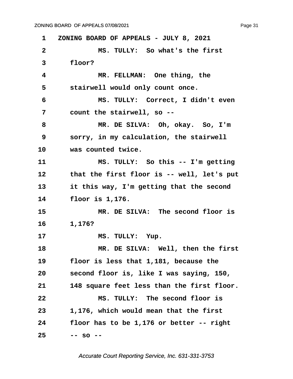<span id="page-31-0"></span>**·1· ·ZONING BOARD OF APPEALS - JULY 8, 2021 ·2· · · · · · ·MS. TULLY:· So what's the first ·3· · · floor? ·4· · · · · · ·MR. FELLMAN:· One thing, the** 5 **· stairwell would only count once. ·6· · · · · · ·MS. TULLY:· Correct, I didn't even ·7· · · count the stairwell, so -- ·8· · · · · · ·MR. DE SILVA:· Oh, okay.· So, I'm ·9· · · sorry, in my calculation, the stairwell** 10 **was counted twice. 11· · · · · · ·MS. TULLY:· So this -- I'm getting** 12 **that the first floor is -- well, let's put** 13 **11 it this way, I'm getting that the second 14· · · floor is 1,176. 15· · · · · · ·MR. DE SILVA:· The second floor is 16· · · 1,176?** 17 **MS. TULLY: Yup.** 18 **MR. DE SILVA: Well, then the first 19· · · floor is less that 1,181, because the 20· · · second floor is, like I was saying, 150, 21· · · 148 square feet less than the first floor. 22· · · · · · ·MS. TULLY:· The second floor is 23· · · 1,176, which would mean that the first 24· · · floor has to be 1,176 or better -- right 25· · · -- so --**

Accurate Court Reporting Service, Inc. 631-331-3753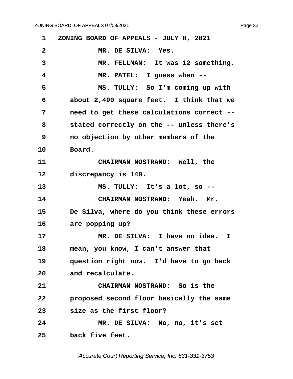<span id="page-32-0"></span>**·1· ·ZONING BOARD OF APPEALS - JULY 8, 2021** 2 MR. DE SILVA: Yes. 3 MR. FELLMAN: It was 12 something. **·4· · · · · · ·MR. PATEL:· I guess when -- ·5· · · · · · ·MS. TULLY:· So I'm coming up with ·6· · · about 2,490 square feet.· I think that we ·7· · · need to get these calculations correct -- ·8· · · stated correctly on the -- unless there's ·9· · · no objection by other members of the** 10 **Board.** 11 **• CHAIRMAN NOSTRAND:** Well, the 12 **discrepancy is 140.** 13 **MS. TULLY:** It's a lot, so --**14· · · · · · ·CHAIRMAN NOSTRAND:· Yeah.· Mr. 15· · · De Silva, where do you think these errors** 16 are popping up? **17· · · · · · ·MR. DE SILVA:· I have no idea. I** 18 **· · mean, you know, I can't answer that** 19 · **question right now.** I'd have to go back 20 and recalculate. **21· · · · · · ·CHAIRMAN NOSTRAND:· So is the 22· · · proposed second floor basically the same 23· · · size as the first floor? 24· · · · · · ·MR. DE SILVA:· No, no, it's set** 25 **back five feet.** 

Accurate Court Reporting Service, Inc. 631-331-3753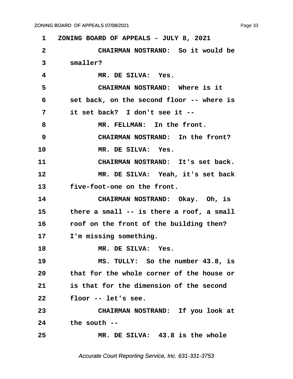Page 33

<span id="page-33-0"></span>

| 1              | ZONING BOARD OF APPEALS - JULY 8, 2021    |
|----------------|-------------------------------------------|
| $\mathbf{2}$   | CHAIRMAN NOSTRAND: So it would be         |
| $\overline{3}$ | smaller?                                  |
| 4              | MR. DE SILVA: Yes.                        |
| 5              | CHAIRMAN NOSTRAND: Where is it            |
| 6              | set back, on the second floor -- where is |
| 7              | it set back? I don't see it --            |
| 8              | MR. FELLMAN: In the front.                |
| 9              | CHAIRMAN NOSTRAND: In the front?          |
| 10             | MR. DE SILVA: Yes.                        |
| 11             | CHAIRMAN NOSTRAND: It's set back.         |
| 12             | MR. DE SILVA: Yeah, it's set back         |
| 13             | five-foot-one on the front.               |
| 14             | CHAIRMAN NOSTRAND: Okay. Oh, is           |
| 15             | there a small -- is there a roof, a small |
| 16             | roof on the front of the building then?   |
| 17             | I'm missing something.                    |
| 18             | MR. DE SILVA: Yes.                        |
| 19             | MS. TULLY: So the number 43.8, is         |
| 20             | that for the whole corner of the house or |
| 21             | is that for the dimension of the second   |
| 22             | floor -- let's see.                       |
| 23             | CHAIRMAN NOSTRAND: If you look at         |
| 24             | the south --                              |
| 25             | MR. DE SILVA: 43.8 is the whole           |

Accurate Court Reporting Service, Inc. 631-331-3753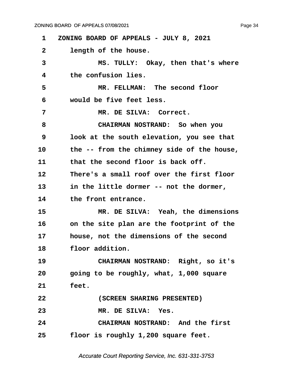<span id="page-34-0"></span>**·1· ·ZONING BOARD OF APPEALS - JULY 8, 2021** 2 **length of the house. ·3· · · · · · ·MS. TULLY:· Okay, then that's where ·4· · · the confusion lies. ·5· · · · · · ·MR. FELLMAN:· The second floor ·6· · · would be five feet less. ·7· · · · · · ·MR. DE SILVA:· Correct. ·8· · · · · · ·CHAIRMAN NOSTRAND:· So when you ·9· · · look at the south elevation, you see that** 10 the -- from the chimney side of the house, 11 **but the second floor is back off. 12· · · There's a small roof over the first floor** 13 **in the little dormer -- not the dormer,** 14 **but the front entrance.** 15 **MR. DE SILVA: Yeah, the dimensions** 16 **· on the site plan are the footprint of the** 17 **house, not the dimensions of the second** 18 **floor addition.** 19 **CHAIRMAN NOSTRAND:** Right, so it's **20· · · going to be roughly, what, 1,000 square 21· · · feet. 22· · · · · · ·(SCREEN SHARING PRESENTED)** 23 MR. DE SILVA: Yes. **24· · · · · · ·CHAIRMAN NOSTRAND:· And the first 25· · · floor is roughly 1,200 square feet.**

Accurate Court Reporting Service, Inc. 631-331-3753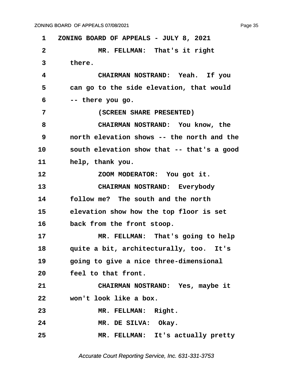<span id="page-35-0"></span>**·1· ·ZONING BOARD OF APPEALS - JULY 8, 2021 ·2· · · · · · ·MR. FELLMAN:· That's it right** 3 there. **·4· · · · · · ·CHAIRMAN NOSTRAND:· Yeah.· If you** 5 can go to the side elevation, that would **·6· · · -- there you go. ·7· · · · · · ·(SCREEN SHARE PRESENTED) ·8· · · · · · ·CHAIRMAN NOSTRAND:· You know, the ·9· · · north elevation shows -- the north and the 10· · · south elevation show that -- that's a good** 11 **help, thank you. 12· · · · · · ·ZOOM MODERATOR:· You got it. 13· · · · · · ·CHAIRMAN NOSTRAND:· Everybody 14· · · follow me?· The south and the north** 15 **· · elevation show how the top floor is set** 16 back from the front stoop. 17 MR. FELLMAN: That's going to help 18 **quite a bit, architecturally, too.** It's **19· · · going to give a nice three-dimensional** 20 **· · feel to that front. 21· · · · · · ·CHAIRMAN NOSTRAND:· Yes, maybe it 22· · · won't look like a box.** 23 MR. FELLMAN: Right. 24 MR. DE SILVA: Okay. **25· · · · · · ·MR. FELLMAN:· It's actually pretty**

Accurate Court Reporting Service, Inc. 631-331-3753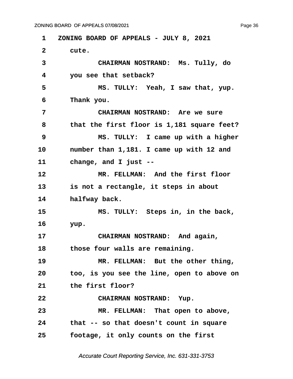<span id="page-36-0"></span>**·1· ·ZONING BOARD OF APPEALS - JULY 8, 2021** 2 cute. **·3· · · · · · ·CHAIRMAN NOSTRAND:· Ms. Tully, do ·4· · · you see that setback? ·5· · · · · · ·MS. TULLY:· Yeah, I saw that, yup. ·6· · · Thank you. ·7· · · · · · ·CHAIRMAN NOSTRAND:· Are we sure ·8· · · that the first floor is 1,181 square feet? ·9· · · · · · ·MS. TULLY:· I came up with a higher** 10 mumber than 1,181. I came up with 12 and 11 change, and I just --**12· · · · · · ·MR. FELLMAN:· And the first floor** 13 **is not a rectangle, it steps in about** 14 **halfway back. 15· · · · · · ·MS. TULLY:· Steps in, in the back, 16· · · yup.** 17 **• CHAIRMAN NOSTRAND:** And again, 18 **b** those four walls are remaining. 19 **MR. FELLMAN:** But the other thing, **20· · · too, is you see the line, open to above on** 21 **the first floor? 22· · · · · · ·CHAIRMAN NOSTRAND:· Yup.** 23 MR. FELLMAN: That open to above, **24· · · that -- so that doesn't count in square 25· · · footage, it only counts on the first**

Accurate Court Reporting Service, Inc. 631-331-3753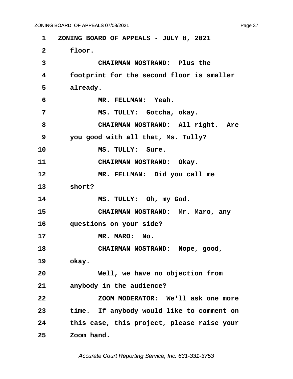<span id="page-37-0"></span>**·1· ·ZONING BOARD OF APPEALS - JULY 8, 2021** 2 **floor. ·3· · · · · · ·CHAIRMAN NOSTRAND:· Plus the ·4· · · footprint for the second floor is smaller** 5 already. **·6· · · · · · ·MR. FELLMAN:· Yeah. ·7· · · · · · ·MS. TULLY:· Gotcha, okay.** 8 **· · · · · · CHAIRMAN NOSTRAND:** All right. Are **·9· · · you good with all that, Ms. Tully?** 10 MS. TULLY: Sure. 11 **CHAIRMAN NOSTRAND:** Okay. 12 **MR. FELLMAN:** Did you call me 13 **short?** 14 MS. TULLY: Oh, my God. 15 **• CHAIRMAN NOSTRAND:** Mr. Maro, any 16 **questions on your side? 17· · · · · · ·MR. MARO:· No.** 18 **· · · · · · · · CHAIRMAN NOSTRAND:** Nope, good, 19 okay. **20· · · · · · ·Well, we have no objection from** 21 **anybody in the audience? 22· · · · · · ·ZOOM MODERATOR:· We'll ask one more 23· · · time.· If anybody would like to comment on 24· · · this case, this project, please raise your 25· · · Zoom hand.**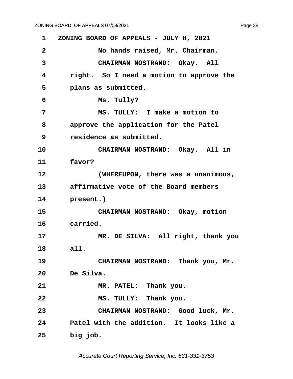<span id="page-38-0"></span>**·1· ·ZONING BOARD OF APPEALS - JULY 8, 2021 ·2· · · · · · ·No hands raised, Mr. Chairman.** 3 **· · · · · · · · CHAIRMAN NOSTRAND:** Okay. All **·4· · · right.· So I need a motion to approve the** 5 **· · · plans as submitted. ·6· · · · · · ·Ms. Tully? ·7· · · · · · ·MS. TULLY:· I make a motion to ·8· · · approve the application for the Patel ·9· · · residence as submitted.** 10 **CHAIRMAN NOSTRAND:** Okay. All in 11 **favor? 12· · · · · · ·(WHEREUPON, there was a unanimous, 13· · · affirmative vote of the Board members** 14 **present.**) 15 **· · CHAIRMAN NOSTRAND:** Okay, motion 16 carried. 17 **MR. DE SILVA: All right, thank you** 18 all. 19 **CHAIRMAN NOSTRAND:** Thank you, Mr. **20· · · De Silva. 21· · · · · · ·MR. PATEL:· Thank you.** 22 **8 8 8. TULLY:** Thank you. 23 **CHAIRMAN NOSTRAND:** Good luck, Mr. **24· · · Patel with the addition.· It looks like a** 25 **big job.**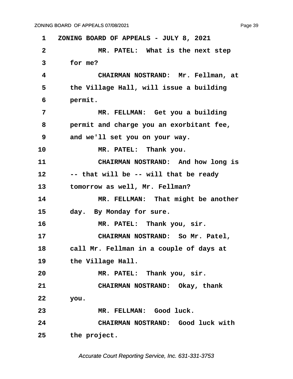Page 39

**·1· ·ZONING BOARD OF APPEALS - JULY 8, 2021 ·2· · · · · · ·MR. PATEL:· What is the next step ·3· · · for me? ·4· · · · · · ·CHAIRMAN NOSTRAND:· Mr. Fellman, at** 5 **budge Hall, will issue a building ·6· · · permit. ·7· · · · · · ·MR. FELLMAN:· Get you a building ·8· · · permit and charge you an exorbitant fee, ·9· · · and we'll set you on your way.** 10 **MR. PATEL:** Thank you. 11 **CHAIRMAN NOSTRAND:** And how long is **12· · · -- that will be -- will that be ready** 13 **· · tomorrow as well, Mr. Fellman?** 14 MR. FELLMAN: That might be another 15 day. By Monday for sure. 16 **MR. PATEL:** Thank you, sir. 17 **· · · · · · CHAIRMAN NOSTRAND:** So Mr. Patel, **18· · · call Mr. Fellman in a couple of days at** 19 **blue but in the Village Hall.** 20 **MR. PATEL:** Thank you, sir. **21· · · · · · ·CHAIRMAN NOSTRAND:· Okay, thank 22· · · you. 23· · · · · · ·MR. FELLMAN:· Good luck. 24· · · · · · ·CHAIRMAN NOSTRAND:· Good luck with 25· · · the project.**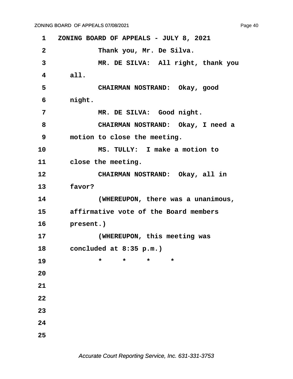**·1· ·ZONING BOARD OF APPEALS - JULY 8, 2021 ·2· · · · · · ·Thank you, Mr. De Silva. ·3· · · · · · ·MR. DE SILVA:· All right, thank you ·4· · · all. ·5· · · · · · ·CHAIRMAN NOSTRAND:· Okay, good ·6· · · night.** 7 **MR. DE SILVA:** Good night. **·8· · · · · · ·CHAIRMAN NOSTRAND:· Okay, I need a ·9· · · motion to close the meeting. 10· · · · · · ·MS. TULLY:· I make a motion to** 11 close the meeting. 12 **CHAIRMAN NOSTRAND:** Okay, all in 13 **favor? 14· · · · · · ·(WHEREUPON, there was a unanimous, 15· · · affirmative vote of the Board members** 16 **present.**) **17· · · · · · ·(WHEREUPON, this meeting was 18· · · concluded at 8:35 p.m.) 19** \* \* \* \* \* **20 21 22 23 24 25**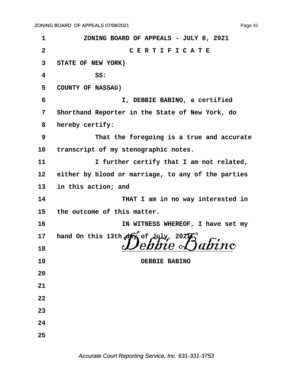**·1· · · · · ZONING BOARD OF APPEALS - JULY 8, 2021 ·2· · · · · · · · · · · C E R T I F I C A T E ·3· ·STATE OF NEW YORK) ·4· · · · · · ·SS: ·5· ·COUNTY OF NASSAU) ·6· · · · · · · · · · I, DEBBIE BABINO, a certified ·7· ·Shorthand Reporter in the State of New York, do ·8· ·hereby certify: ·9· · · · · · ·That the foregoing is a true and accurate** 10 transcript of my stenographic notes. **11· · · · · · ·I further certify that I am not related,** 12 either by blood or marriage, to any of the parties 13 in this action; and 14 **THAT I am in no way interested in** 15 the outcome of this matter. **16· · · · · · · · · · IN WITNESS WHEREOF, I have set my 17· ·hand On this 13th day of July, 2021.** <sup>18</sup> *Debbie Babino* **19· · · · · · · · · · · · ·DEBBIE BABINO 20 21 22 23 24 25**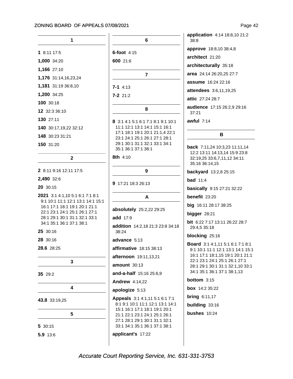```
\mathbf{1}6
1 8:11 17:5
                                     6-foot 4:151,000 34:20
                                     600 21:6
1,166 27:10
                                                     \overline{7}1,176 31:14,16,23,24
1,181 31:19 36:8,10
                                     7 - 14:131,200 34:25
                                     7 - 2 21:2
100 30:18
                                                      8
12 32:3 36:10
130 27:11
                                     8 3:1 4:1 5:1 6:1 7:1 8:1 9:1 10:1
                                       11:1 12:1 13:1 14:1 15:1 16:1
140 30:17,19,22 32:12
                                       17:1 18:1 19:1 20:1 21:1,4 22:1
148 30:23 31:21
                                      23:1 24:1 25:1 26:1 27:1 28:1
                                       29:1 30:1 31:1 32:1 33:1 34:1
150 31:20
                                      35:1 36:1 37:1 38:1
                                     8th 4:10
                \overline{2}2 8:11 9:16 12:11 17:5
                                                      9
2,490 32:6
                                     9 17:21 18:3 26:13
20 30:15
2021 3:1 4:1,10 5:1 6:1 7:1 8:1
                                                      A
 9:1 10:1 11:1 12:1 13:1 14:1 15:1
 16:1 17:1 18:1 19:1 20:1 21:1
                                     absolutely 25:2,22 29:25
 22:1 23:1 24:1 25:1 26:1 27:1
 28:1 29:1 30:1 31:1 32:1 33:1
                                     add 17:9
 34:1 35:1 36:1 37:1 38:1
                                     addition 14:2,18 21:3 23:8 34:18
25 30:16
                                       38:24
28 30:16
                                     advance 5:13
28.6 28:25
                                     affirmative 18:15 38:13
                                     afternoon 19:11,13,21
                \overline{3}amount 30:13
                                     and-a-half 15:16 25:6,9
35 29:2
                                     Andrew 4:14,22
                4
                                     apologize 5:13
                                     Appeals 3:1 4:1,11 5:1 6:1 7:1
43.8 33:19,25
                                      8:1 9:1 10:1 11:1 12:1 13:1 14:1
                                       15:1 16:1 17:1 18:1 19:1 20:1
                5
                                       21:1 22:1 23:1 24:1 25:1 26:1
                                       27:1 28:1 29:1 30:1 31:1 32:1
                                       33:1 34:1 35:1 36:1 37:1 38:1
5 30:15
```
application 4:14 18:8,10 21:2 38:8 approve 18:8,10 38:4,8 architect 21:20 architecturally 35:18 area 24:14 26:20,25 27:7 assume 16:24 22:16 attendees 3:6,11,19,25 attic 27:24 28:7 37:21 awful  $7:14$  $\mathbf{B}$ 35:16 36:14,15 backyard 13:2,8 25:15 **bad** 11:4 basically 9:15 27:21 32:22 benefit 23:20 big 16:11 28:17 38:25 bigger  $28:21$ 29:4.5 35:18 blocking 25:16 **bottom**  $3:15$ **box** 14:2 35:22

audience 17:15 26:2,9 29:16

back 7:11,24 10:3,23 11:11,14 12:2 13:11 14:13,14 15:9 23:8 32:19,25 33:6,7,11,12 34:11

bit 6:22 7:17 13:11 26:22 28:7

Board 3:1 4:1,11 5:1 6:1 7:1 8:1 9:1 10:1 11:1 12:1 13:1 14:1 15:1 16:1 17:1 18:1,15 19:1 20:1 21:1 22:1 23:1 24:1 25:1 26:1 27:1 28:1 29:1 30:1 31:1 32:1,10 33:1 34:1 35:1 36:1 37:1 38:1,13

**bring 6:11,17** building 33:16 bushes 10:24

applicant's 17:22

5.9 13:6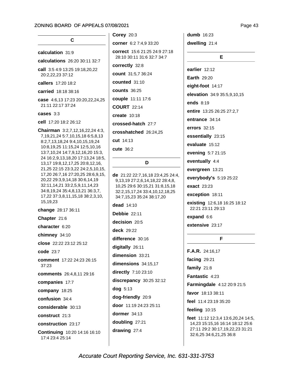Page 43

#### calculation 31:9

- calculations 26:20 30:11 32:7
- call 3:5 4:9 13:25 19:18.20.22 20:2,22,23 37:12
- callers 17:20 18:2
- carried 18:18 38:16

case 4:6,13 17:23 20:20,22,24,25 21:11 22:17 37:24

#### cases 3:3

**cell** 17:20 18:2 26:12

Chairman 3:2,7,12,16,22,24 4:3, 7, 19, 21, 24 5: 7, 10, 15, 18 6: 5, 8, 13 8:2,7,13,18,24 9:4,10,15,19,24 10:8, 19, 25 11:15, 24 12:5, 10, 16 13:7,10,24 14:7,9,12,16,20 15:3, 24 16:2,9,13,18,20 17:13,24 18:5, 13,17 19:8,12,17,25 20:8,12,16, 21,25 22:15 23:3,22 24:2,5,10,15, 17,20 26:7,16 27:20,25 28:6,9,15, 20,22 29:3,9,14,18 30:6,14,19 32:11,14,21 33:2,5,9,11,14,23 34:8,19,24 35:4,8,13,21 36:3,7, 17,22 37:3,8,11,15,18 38:2,3,10, 15,19,23

change 28:17 36:11

Chapter 21:6

character 6:20

chimney 34:10

close 22:22 23:12 25:12

code 23:7

comment 17:22 24:23 26:15 37:23

comments 26:4,8,11 29:16

companies 17:7

company 18:25

confusion 34:4

considerable 30:13

#### construct 21:3

construction 23:17

Continuing 10:20 14:16 16:10 17:4 23:4 25:14

Corey  $20:3$ 

corner 6:2 7:4,9 33:20

correct 15:6 21:25 24:9 27:18 28:10 30:11 31:6 32:7 34:7

correctly 32:8

count 31:5,7 36:24

counted 31:10

**counts** 36:25

couple 11:11 17:6

**COURT 22:14** 

create 10:18

crossed-hatch 27:7

crosshatched 26:24,25

cut 14:13

cute 36:2

#### D

de 21:22 22:7,16,18 23:4,25 24:4, 9,13,19 27:2,6,14,18,22 28:4,8, 10,25 29:6 30:15,21 31:8,15,18 32:2,15,17,24 33:4,10,12,18,25 34:7,15,23 35:24 38:17,20

dead 14:10

Debbie 22:11

decision 20:5

deck  $29.22$ 

difference 30:16

digitally 26:11

dimension 33:21

dimensions 34:15,17

directly 7:10 23:10

discrepancy 30:25 32:12

dog 5:13

dog-friendly 20:9

door 11:19 24:23 25:11

dormer  $34:13$ 

doubling 27:21

drawing 27:4

**dumb** 16:23 dwelling 21:4

E

earlier 12:12 **Earth 29:20** eight-foot 14:17 elevation 34:9 35:5,9,10,15 ends 8:19 entire 13:25 26:25 27:2,7 entrance 34:14 errors 32:15 essentially 23:15 evaluate 15:12 evening 5:7 21:15 eventually 4:4 evergreen 13:21 everybody's 5:19 25:22 exact 23:23 exception 18:11

existing 12:6,18 16:25 18:12 22:21 23:11 29:13

expand 6:6

extensive 23:17

#### F.

**F.A.R.** 24:16,17 facing  $29:21$ family  $21:8$ Fantastic 4:23 Farmingdale 4:12 20:9 21:5 favor 18:13 38:11 feel 11:4 23:19 35:20 feeling 10:15 feet 11:12 12:3,4 13:6,20,24 14:5, 14,23 15:15,16 16:14 18:12 25:6 27:11 29:2 30:17,19,22,23 31:21

32:6,25 34:6,21,25 36:8

Accurate Court Reporting Service, Inc. 631-331-3753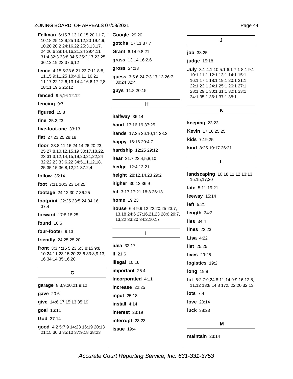

Page 44

job 38:25

judge 15:18

July 3:1 4:1,10 5:1 6:1 7:1 8:1 9:1 10:1 11:1 12:1 13:1 14:1 15:1 16:1 17:1 18:1 19:1 20:1 21:1 22:1 23:1 24:1 25:1 26:1 27:1 28:1 29:1 30:1 31:1 32:1 33:1 34:1 35:1 36:1 37:1 38:1

J

#### K

keeping 23:23 Kevin 17:16 25:25 kids 7:19,25 kind 8:25 10:17 26:21

#### L

landscaping 10:18 11:12 13:13 15:15,17,20 late 5:11 19:21 leeway 15:14 left  $5:21$ length 34:2 lies  $34:4$ **lines** 22:23 Lisa  $4:22$ list 25:25 **lives** 29:25 logistics 19:2 **long** 19:8 lot 6:2 7:9,24 8:11,14 9:9,16 12:8, 11,12 13:8 14:8 17:5 22:20 32:13 lots  $7.4$ **love** 20:14 luck 38:23 M

maintain  $23:14$ 

Accurate Court Reporting Service, Inc. 631-331-3753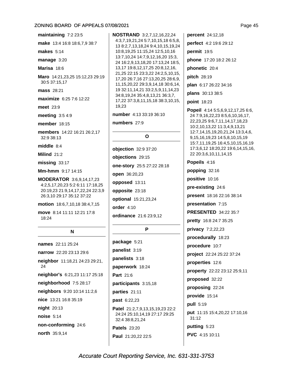| maintaining 7:2 23:5                                                                                                          |  |  |
|-------------------------------------------------------------------------------------------------------------------------------|--|--|
| <b>make</b> 13:4 16:8 18:6,7,9 38:7                                                                                           |  |  |
| makes $5:14$                                                                                                                  |  |  |
| $m$ anage $3:20$                                                                                                              |  |  |
| Marisa 18:6                                                                                                                   |  |  |
| Maro 14:21,23,25 15:12,23 29:19<br>30:5 37:15,17                                                                              |  |  |
| <b>mass</b> 28:21                                                                                                             |  |  |
| maximize 6:25 7:6 12:22                                                                                                       |  |  |
| meet 23:9                                                                                                                     |  |  |
| meeting $3:54:9$                                                                                                              |  |  |
| <b>member</b> 18:15                                                                                                           |  |  |
| members 14:22 16:21 26:2,17<br>32:9 38:13                                                                                     |  |  |
| middle $8:4$                                                                                                                  |  |  |
| <b>Milind 21:2</b>                                                                                                            |  |  |
| missing 33:17                                                                                                                 |  |  |
| Mm-hmm 9:17 14:15                                                                                                             |  |  |
| MODERATOR 3:6,9,14,17,23<br>4:2,5,17,20,23 5:2 6:11 17:18,25<br>20:19,23 21:9,14,17,22,24 22:3,9<br>26:3,10 29:17 35:12 37:22 |  |  |
| <b>motion</b> 18:6,7,10,18 38:4,7,15                                                                                          |  |  |
| move 8:14 11:11 12:21 17:8<br>18:24                                                                                           |  |  |
| N                                                                                                                             |  |  |
| names 22:11 25:24                                                                                                             |  |  |
| narrow 22:20 23:13 29:6                                                                                                       |  |  |
| neighbor 11:18,21 24:23 29:21,<br>24                                                                                          |  |  |
| neighbor's 6:21,23 11:17 25:18                                                                                                |  |  |

neighborhood 7:5 28:17 neighbors 9:20 10:14 11:2,6 nice 13:21 16:8 35:19 night 20:13 noise 5:14 non-conforming 24:6

north 35:9,14

**NOSTRAND** 3:2.7.12.16.22.24 4:3,7,19,21,24 5:7,10,15,18 6:5,8, 13 8:2,7,13,18,24 9:4,10,15,19,24 10:8,19,25 11:15,24 12:5,10,16 13:7,10,24 14:7,9,12,16,20 15:3, 24 16:2,9,13,18,20 17:13,24 18:5, 13,17 19:8,12,17,25 20:8,12,16, 21,25 22:15 23:3,22 24:2,5,10,15, 17,20 26:7,16 27:13,20,25 28:6,9, 11, 15, 20, 22 29: 3, 9, 14, 18 30: 6, 14, 19 32:11,14,21 33:2,5,9,11,14,23 34:8,19,24 35:4,8,13,21 36:3,7, 17,22 37:3,8,11,15,18 38:3,10,15, 19.23

number 4:13 33:19 36:10

numbers 27:9

#### $\Omega$

objection 32:9 37:20 objections 29:15 one-story 25:5 27:22 28:18 open 36:20,23 opposed 13:11 opposite 23:18 optional 15:21,23,24 order  $4:10$ ordinance 21:6 23:9,12

## P

package 5:21 panelist 3:19 panelists 3:18 paperwork 18:24 Part 21:6 participants 3:15,18 parties 21:11 past 6:22,23 **Patel** 21:2,7,9,13,15,19,23 22:2 24:24 25:10,14,19 27:17 29:25 32:4 38:8.21.24 **Patels** 23:20 Paul 21:20,22 22:5

percent 24:12,18 perfect 4:2 19:6 29:12 permit 19:5 phone 17:20 18:2 26:12 phonetic 20:4 pitch 28:19 plan 6:17 26:22 34:16 plans 30:13 38:5 point 18:23

Popeil 4:14 5:5,6,9,12,17,25 6:6, 24 7:9,16,22,23 8:5,6,10,16,17, 22, 23, 25 9: 6, 7, 11, 14, 17, 18, 23 10:2,10,13,22 11:3,4,9,13,21 12:7,14,15,19,20,21,24 13:3,4,6, 9, 15, 16, 19, 23 14: 5, 8, 10, 15, 19 15:7,11,19,25 16:4,5,10,15,16,19 17:3,6,12 18:20,22 19:6,14,15,16, 22 20:3,6,10,11,14,15

Popeils 4:16 popping 32:16 positive 10:16 pre-existing 24:6 present 18:16 22:16 38:14 presentation 7:15 **PRESENTED 34:22 35:7** pretty 16:8 24:7 35:25 privacy 7:2,22,23 procedurally 18:23 procedure 10:7 project 22:24 25:22 37:24 properties 12:6 property 22:22 23:12 25:9,11 proposed 32:22 proposing 22:24 provide 15:14 **pull** 5:19 put 11:15 15:4,20,22 17:10,16  $31:12$ putting 5:23 PVC 4:15 10:11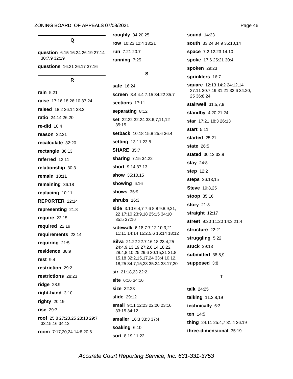### Q

question 6:15 16:24 26:19 27:14 30:7,9 32:19 questions 16:21 26:17 37:16

#### $\mathsf{R}$

rain 5:21 raise 17:16,18 26:10 37:24 raised 18:2 26:14 38:2 ratio 24:14 26:20 re-did  $10:4$ reason  $22:21$ recalculate 32:20 rectangle 36:13 referred 12:11 relationship 30:3 remain  $18:11$ remaining 36:18 replacing 10:11 REPORTER 22:14 representing 21:8 require 23:15 required 22:19 requirements 23:14 requiring 21:5 residence 38:9 rest  $9:4$ restriction 29:2 restrictions 28:23 ridge  $28:9$ right-hand  $3:10$ righty 20:19 rise  $29:7$ roof 25:8 27:23,25 28:18 29:7 33:15,16 34:12 room 7:17,20,24 14:8 20:6

roughly 34:20,25 row 10:23 12:4 13:21 run 7:21 20:7 running 7:25

#### S

safe 16:24 screen 3:4 4:4 7:15 34:22 35:7 sections 17:11 separating 8:12 set 22:22 32:24 33:6,7,11,12  $35:15$ setback 10:18 15:8 25:6 36:4 setting 13:11 23:8 **SHARE 35:7** sharing 7:15 34:22 short 9:14 37:13 show 35:10.15 showing 6:16 **shows** 35:9 shrubs  $16:3$ side 3:10 6:4,7 7:6 8:8 9:8,9,21, 22 17:10 23:9,18 25:15 34:10 35:5 37:16 sidewalk 6:18 7:7,12 10:3,21 11:11 14:14 15:2,5,6 16:14 18:12 Silva 21:22 22:7,16,18 23:4,25 24:4,9,13,19 27:2,6,14,18,22 28:4,8,10,25 29:6 30:15,21 31:8, 15, 18 32: 2, 15, 17, 24 33: 4, 10, 12, 18,25 34:7,15,23 35:24 38:17,20 sir 21:18.23 22:2 site 6:16 34:16 size 32:23 slide 29:12 small 9:11 12:23 22:20 23:16 33:15 34:12 smaller 16:3 33:3 37:4 soaking 6:10

**sound** 14:23 south 33:24 34:9 35:10,14 space 7:2 12:23 14:10 spoke 17:6 25:21 30:4 spoken 29:23 sprinklers 16:7 square 12:13 14:2 24:12,14 27:11 30:7,19 31:21 32:6 34:20, 25 36:8.24 stairwell 31:5,7,9 standby 4:20 21:24 star 17:21 18:3 26:13 start  $5:11$ started 25:21 **state** 26:5 stated 30:12 32:8 **stay 24:8** step 12:2 steps 36:13,15 **Steve** 19:8,25 stoop 35:16 story 21:3 straight 12:17 street 9:20 11:20 14:3 21:4 structure 22:21 struggling 5:22 **stuck** 29:13 submitted 38:5,9 supposed 3:8

#### T

talk 24:25 talking 11:2,8,19 technically 6:3 ten 14:5 thing 24:11 25:4,7 31:4 36:19 three-dimensional 35:19

Page 46

Accurate Court Reporting Service, Inc. 631-331-3753

sort 8:19 11:22